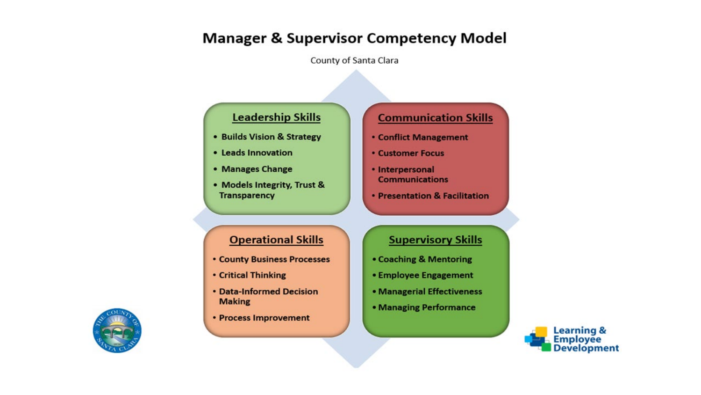# **Manager & Supervisor Competency Model**

County of Santa Clara

## **Leadership Skills**

- Builds Vision & Strategy
- Leads Innovation
- Manages Change
- Models Integrity, Trust & **Transparency**

## **Communication Skills**

- **Conflict Management**
- **Customer Focus**
- Interpersonal **Communications**
- Presentation & Facilitation

## **Operational Skills**

- **County Business Processes**
- **Critical Thinking**
- Data-Informed Decision **Making**
- Process Improvement

## **Supervisory Skills**

- Coaching & Mentoring
- Employee Engagement
- Managerial Effectiveness
- Managing Performance